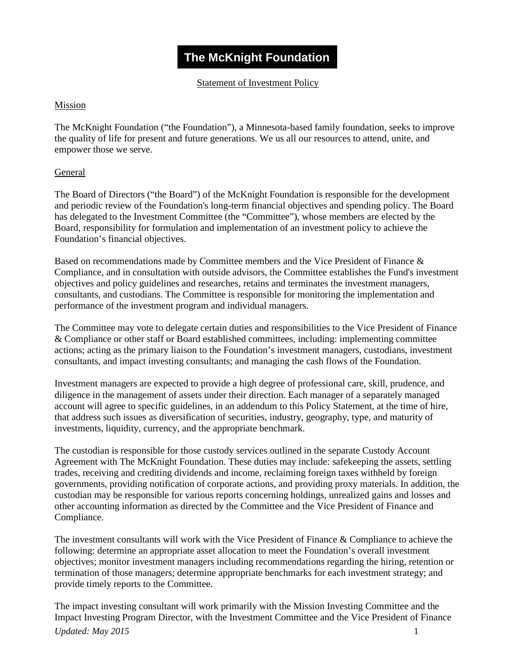# **The McKnight Foundation**

Statement of Investment Policy

# Mission

The McKnight Foundation ("the Foundation"), a Minnesota-based family foundation, seeks to improve the quality of life for present and future generations. We us all our resources to attend, unite, and empower those we serve.

# **General**

The Board of Directors ("the Board") of the McKnight Foundation is responsible for the development and periodic review of the Foundation's long-term financial objectives and spending policy. The Board has delegated to the Investment Committee (the "Committee"), whose members are elected by the Board, responsibility for formulation and implementation of an investment policy to achieve the Foundation's financial objectives.

Based on recommendations made by Committee members and the Vice President of Finance & Compliance, and in consultation with outside advisors, the Committee establishes the Fund's investment objectives and policy guidelines and researches, retains and terminates the investment managers, consultants, and custodians. The Committee is responsible for monitoring the implementation and performance of the investment program and individual managers.

The Committee may vote to delegate certain duties and responsibilities to the Vice President of Finance & Compliance or other staff or Board established committees, including: implementing committee actions; acting as the primary liaison to the Foundation's investment managers, custodians, investment consultants, and impact investing consultants; and managing the cash flows of the Foundation.

Investment managers are expected to provide a high degree of professional care, skill, prudence, and diligence in the management of assets under their direction. Each manager of a separately managed account will agree to specific guidelines, in an addendum to this Policy Statement, at the time of hire, that address such issues as diversification of securities, industry, geography, type, and maturity of investments, liquidity, currency, and the appropriate benchmark.

The custodian is responsible for those custody services outlined in the separate Custody Account Agreement with The McKnight Foundation. These duties may include: safekeeping the assets, settling trades, receiving and crediting dividends and income, reclaiming foreign taxes withheld by foreign governments, providing notification of corporate actions, and providing proxy materials. In addition, the custodian may be responsible for various reports concerning holdings, unrealized gains and losses and other accounting information as directed by the Committee and the Vice President of Finance and Compliance.

The investment consultants will work with the Vice President of Finance & Compliance to achieve the following: determine an appropriate asset allocation to meet the Foundation's overall investment objectives; monitor investment managers including recommendations regarding the hiring, retention or termination of those managers; determine appropriate benchmarks for each investment strategy; and provide timely reports to the Committee.

*Updated: May 2015* 1 The impact investing consultant will work primarily with the Mission Investing Committee and the Impact Investing Program Director, with the Investment Committee and the Vice President of Finance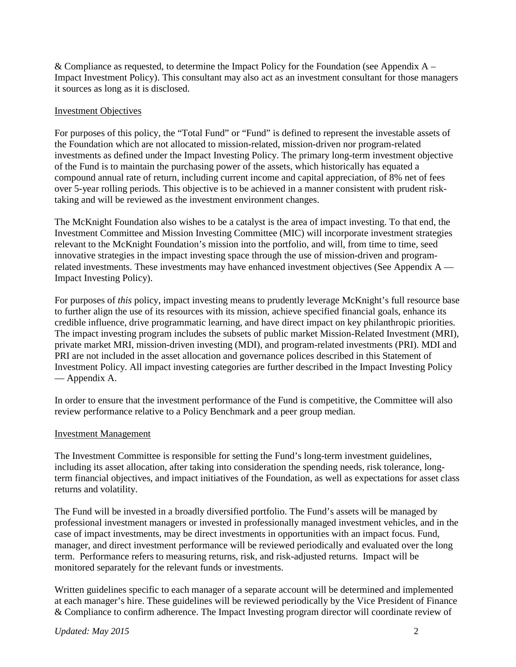& Compliance as requested, to determine the Impact Policy for the Foundation (see Appendix  $A -$ Impact Investment Policy). This consultant may also act as an investment consultant for those managers it sources as long as it is disclosed.

# Investment Objectives

For purposes of this policy, the "Total Fund" or "Fund" is defined to represent the investable assets of the Foundation which are not allocated to mission-related, mission-driven nor program-related investments as defined under the Impact Investing Policy. The primary long-term investment objective of the Fund is to maintain the purchasing power of the assets, which historically has equated a compound annual rate of return, including current income and capital appreciation, of 8% net of fees over 5-year rolling periods. This objective is to be achieved in a manner consistent with prudent risktaking and will be reviewed as the investment environment changes.

The McKnight Foundation also wishes to be a catalyst is the area of impact investing. To that end, the Investment Committee and Mission Investing Committee (MIC) will incorporate investment strategies relevant to the McKnight Foundation's mission into the portfolio, and will, from time to time, seed innovative strategies in the impact investing space through the use of mission-driven and programrelated investments. These investments may have enhanced investment objectives (See Appendix  $A$  — Impact Investing Policy).

For purposes of *this* policy, impact investing means to prudently leverage McKnight's full resource base to further align the use of its resources with its mission, achieve specified financial goals, enhance its credible influence, drive programmatic learning, and have direct impact on key philanthropic priorities. The impact investing program includes the subsets of public market Mission-Related Investment (MRI), private market MRI, mission-driven investing (MDI), and program-related investments (PRI). MDI and PRI are not included in the asset allocation and governance polices described in this Statement of Investment Policy. All impact investing categories are further described in the Impact Investing Policy — Appendix A.

In order to ensure that the investment performance of the Fund is competitive, the Committee will also review performance relative to a Policy Benchmark and a peer group median.

### Investment Management

The Investment Committee is responsible for setting the Fund's long-term investment guidelines, including its asset allocation, after taking into consideration the spending needs, risk tolerance, longterm financial objectives, and impact initiatives of the Foundation, as well as expectations for asset class returns and volatility.

The Fund will be invested in a broadly diversified portfolio. The Fund's assets will be managed by professional investment managers or invested in professionally managed investment vehicles, and in the case of impact investments, may be direct investments in opportunities with an impact focus. Fund, manager, and direct investment performance will be reviewed periodically and evaluated over the long term. Performance refers to measuring returns, risk, and risk-adjusted returns. Impact will be monitored separately for the relevant funds or investments.

Written guidelines specific to each manager of a separate account will be determined and implemented at each manager's hire. These guidelines will be reviewed periodically by the Vice President of Finance & Compliance to confirm adherence. The Impact Investing program director will coordinate review of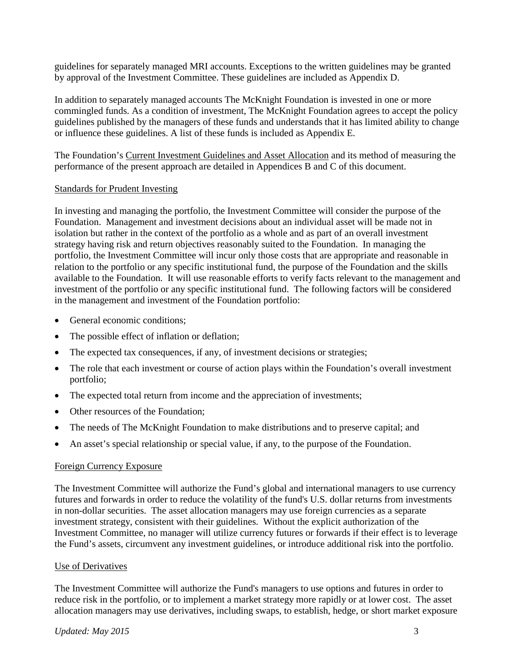guidelines for separately managed MRI accounts. Exceptions to the written guidelines may be granted by approval of the Investment Committee. These guidelines are included as Appendix D.

In addition to separately managed accounts The McKnight Foundation is invested in one or more commingled funds. As a condition of investment, The McKnight Foundation agrees to accept the policy guidelines published by the managers of these funds and understands that it has limited ability to change or influence these guidelines. A list of these funds is included as Appendix E.

The Foundation's Current Investment Guidelines and Asset Allocation and its method of measuring the performance of the present approach are detailed in Appendices B and C of this document.

# Standards for Prudent Investing

In investing and managing the portfolio, the Investment Committee will consider the purpose of the Foundation. Management and investment decisions about an individual asset will be made not in isolation but rather in the context of the portfolio as a whole and as part of an overall investment strategy having risk and return objectives reasonably suited to the Foundation. In managing the portfolio, the Investment Committee will incur only those costs that are appropriate and reasonable in relation to the portfolio or any specific institutional fund, the purpose of the Foundation and the skills available to the Foundation. It will use reasonable efforts to verify facts relevant to the management and investment of the portfolio or any specific institutional fund. The following factors will be considered in the management and investment of the Foundation portfolio:

- General economic conditions;
- The possible effect of inflation or deflation;
- The expected tax consequences, if any, of investment decisions or strategies;
- The role that each investment or course of action plays within the Foundation's overall investment portfolio;
- The expected total return from income and the appreciation of investments;
- Other resources of the Foundation:
- The needs of The McKnight Foundation to make distributions and to preserve capital; and
- An asset's special relationship or special value, if any, to the purpose of the Foundation.

### Foreign Currency Exposure

The Investment Committee will authorize the Fund's global and international managers to use currency futures and forwards in order to reduce the volatility of the fund's U.S. dollar returns from investments in non-dollar securities. The asset allocation managers may use foreign currencies as a separate investment strategy, consistent with their guidelines. Without the explicit authorization of the Investment Committee, no manager will utilize currency futures or forwards if their effect is to leverage the Fund's assets, circumvent any investment guidelines, or introduce additional risk into the portfolio.

### Use of Derivatives

The Investment Committee will authorize the Fund's managers to use options and futures in order to reduce risk in the portfolio, or to implement a market strategy more rapidly or at lower cost. The asset allocation managers may use derivatives, including swaps, to establish, hedge, or short market exposure

### *Updated: May 2015* 3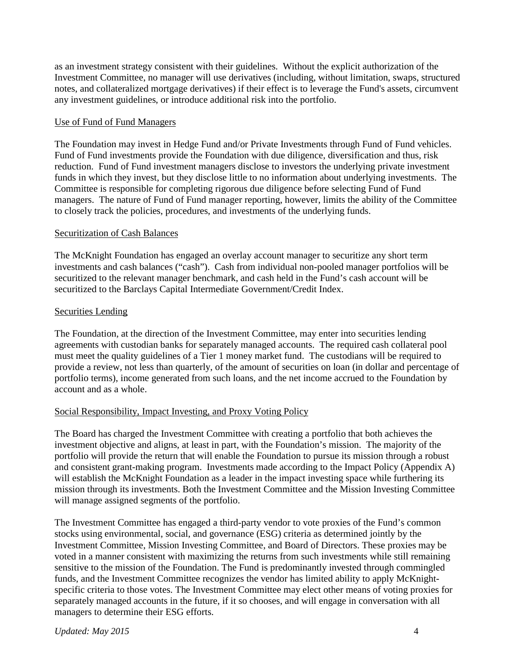as an investment strategy consistent with their guidelines. Without the explicit authorization of the Investment Committee, no manager will use derivatives (including, without limitation, swaps, structured notes, and collateralized mortgage derivatives) if their effect is to leverage the Fund's assets, circumvent any investment guidelines, or introduce additional risk into the portfolio.

# Use of Fund of Fund Managers

The Foundation may invest in Hedge Fund and/or Private Investments through Fund of Fund vehicles. Fund of Fund investments provide the Foundation with due diligence, diversification and thus, risk reduction. Fund of Fund investment managers disclose to investors the underlying private investment funds in which they invest, but they disclose little to no information about underlying investments. The Committee is responsible for completing rigorous due diligence before selecting Fund of Fund managers. The nature of Fund of Fund manager reporting, however, limits the ability of the Committee to closely track the policies, procedures, and investments of the underlying funds.

# Securitization of Cash Balances

The McKnight Foundation has engaged an overlay account manager to securitize any short term investments and cash balances ("cash"). Cash from individual non-pooled manager portfolios will be securitized to the relevant manager benchmark, and cash held in the Fund's cash account will be securitized to the Barclays Capital Intermediate Government/Credit Index.

# Securities Lending

The Foundation, at the direction of the Investment Committee, may enter into securities lending agreements with custodian banks for separately managed accounts. The required cash collateral pool must meet the quality guidelines of a Tier 1 money market fund. The custodians will be required to provide a review, not less than quarterly, of the amount of securities on loan (in dollar and percentage of portfolio terms), income generated from such loans, and the net income accrued to the Foundation by account and as a whole.

# Social Responsibility, Impact Investing, and Proxy Voting Policy

The Board has charged the Investment Committee with creating a portfolio that both achieves the investment objective and aligns, at least in part, with the Foundation's mission. The majority of the portfolio will provide the return that will enable the Foundation to pursue its mission through a robust and consistent grant-making program. Investments made according to the Impact Policy (Appendix A) will establish the McKnight Foundation as a leader in the impact investing space while furthering its mission through its investments. Both the Investment Committee and the Mission Investing Committee will manage assigned segments of the portfolio.

The Investment Committee has engaged a third-party vendor to vote proxies of the Fund's common stocks using environmental, social, and governance (ESG) criteria as determined jointly by the Investment Committee, Mission Investing Committee, and Board of Directors. These proxies may be voted in a manner consistent with maximizing the returns from such investments while still remaining sensitive to the mission of the Foundation. The Fund is predominantly invested through commingled funds, and the Investment Committee recognizes the vendor has limited ability to apply McKnightspecific criteria to those votes. The Investment Committee may elect other means of voting proxies for separately managed accounts in the future, if it so chooses, and will engage in conversation with all managers to determine their ESG efforts.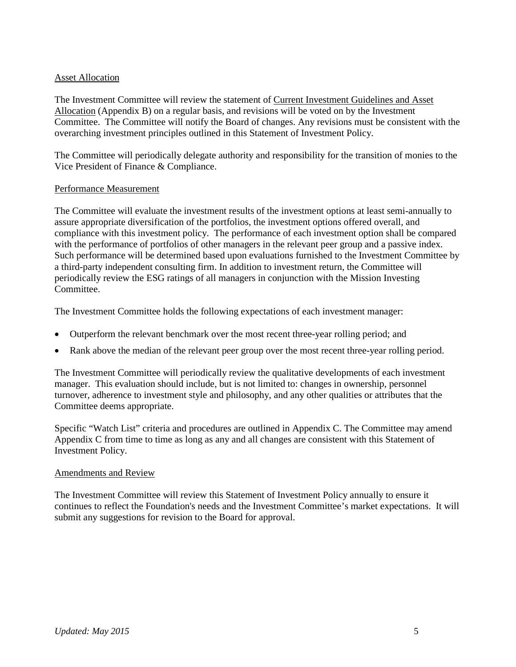# Asset Allocation

The Investment Committee will review the statement of Current Investment Guidelines and Asset Allocation (Appendix B) on a regular basis, and revisions will be voted on by the Investment Committee. The Committee will notify the Board of changes. Any revisions must be consistent with the overarching investment principles outlined in this Statement of Investment Policy.

The Committee will periodically delegate authority and responsibility for the transition of monies to the Vice President of Finance & Compliance.

# Performance Measurement

The Committee will evaluate the investment results of the investment options at least semi-annually to assure appropriate diversification of the portfolios, the investment options offered overall, and compliance with this investment policy. The performance of each investment option shall be compared with the performance of portfolios of other managers in the relevant peer group and a passive index. Such performance will be determined based upon evaluations furnished to the Investment Committee by a third-party independent consulting firm. In addition to investment return, the Committee will periodically review the ESG ratings of all managers in conjunction with the Mission Investing Committee.

The Investment Committee holds the following expectations of each investment manager:

- Outperform the relevant benchmark over the most recent three-year rolling period; and
- Rank above the median of the relevant peer group over the most recent three-year rolling period.

The Investment Committee will periodically review the qualitative developments of each investment manager. This evaluation should include, but is not limited to: changes in ownership, personnel turnover, adherence to investment style and philosophy, and any other qualities or attributes that the Committee deems appropriate.

Specific "Watch List" criteria and procedures are outlined in Appendix C. The Committee may amend Appendix C from time to time as long as any and all changes are consistent with this Statement of Investment Policy.

### Amendments and Review

The Investment Committee will review this Statement of Investment Policy annually to ensure it continues to reflect the Foundation's needs and the Investment Committee's market expectations. It will submit any suggestions for revision to the Board for approval.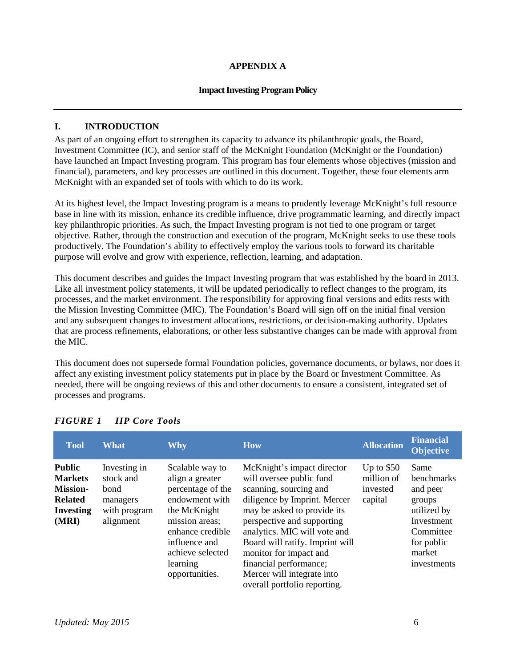### **APPENDIX A**

#### **Impact Investing Program Policy**

#### **I. INTRODUCTION**

As part of an ongoing effort to strengthen its capacity to advance its philanthropic goals, the Board, Investment Committee (IC), and senior staff of the McKnight Foundation (McKnight or the Foundation) have launched an Impact Investing program. This program has four elements whose objectives (mission and financial), parameters, and key processes are outlined in this document. Together, these four elements arm McKnight with an expanded set of tools with which to do its work.

At its highest level, the Impact Investing program is a means to prudently leverage McKnight's full resource base in line with its mission, enhance its credible influence, drive programmatic learning, and directly impact key philanthropic priorities. As such, the Impact Investing program is not tied to one program or target objective. Rather, through the construction and execution of the program, McKnight seeks to use these tools productively. The Foundation's ability to effectively employ the various tools to forward its charitable purpose will evolve and grow with experience, reflection, learning, and adaptation.

This document describes and guides the Impact Investing program that was established by the board in 2013. Like all investment policy statements, it will be updated periodically to reflect changes to the program, its processes, and the market environment. The responsibility for approving final versions and edits rests with the Mission Investing Committee (MIC). The Foundation's Board will sign off on the initial final version and any subsequent changes to investment allocations, restrictions, or decision-making authority. Updates that are process refinements, elaborations, or other less substantive changes can be made with approval from the MIC.

This document does not supersede formal Foundation policies, governance documents, or bylaws, nor does it affect any existing investment policy statements put in place by the Board or Investment Committee. As needed, there will be ongoing reviews of this and other documents to ensure a consistent, integrated set of processes and programs.

| <b>Tool</b>                                                                                       | <b>What</b>                                                                | <b>Why</b>                                                                                                                                                                                         | <b>How</b>                                                                                                                                                                                                                                                                                                                                                         | <b>Allocation</b>                                | <b>Financial</b><br><b>Objective</b>                                                                                      |
|---------------------------------------------------------------------------------------------------|----------------------------------------------------------------------------|----------------------------------------------------------------------------------------------------------------------------------------------------------------------------------------------------|--------------------------------------------------------------------------------------------------------------------------------------------------------------------------------------------------------------------------------------------------------------------------------------------------------------------------------------------------------------------|--------------------------------------------------|---------------------------------------------------------------------------------------------------------------------------|
| <b>Public</b><br><b>Markets</b><br><b>Mission-</b><br><b>Related</b><br><b>Investing</b><br>(MRI) | Investing in<br>stock and<br>bond<br>managers<br>with program<br>alignment | Scalable way to<br>align a greater<br>percentage of the<br>endowment with<br>the McKnight<br>mission areas;<br>enhance credible<br>influence and<br>achieve selected<br>learning<br>opportunities. | McKnight's impact director<br>will oversee public fund<br>scanning, sourcing and<br>diligence by Imprint. Mercer<br>may be asked to provide its<br>perspective and supporting<br>analytics. MIC will vote and<br>Board will ratify. Imprint will<br>monitor for impact and<br>financial performance;<br>Mercer will integrate into<br>overall portfolio reporting. | Up to $$50$<br>million of<br>invested<br>capital | Same<br>benchmarks<br>and peer<br>groups<br>utilized by<br>Investment<br>Committee<br>for public<br>market<br>investments |

# *FIGURE 1 IIP Core Tools*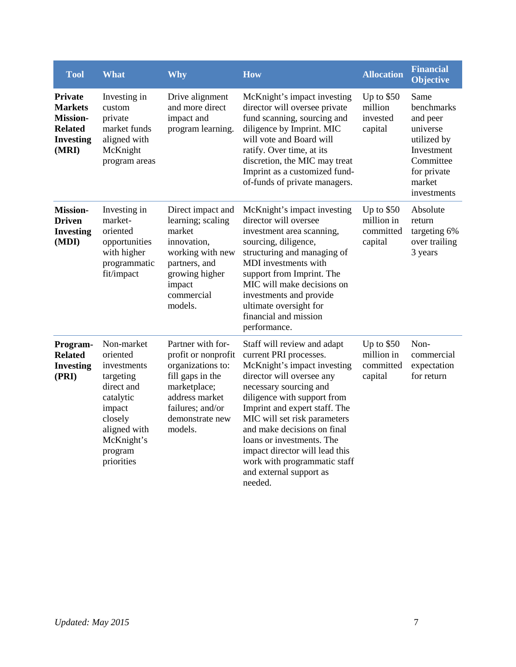| <b>Tool</b>                                                                                        | <b>What</b>                                                                                                                                               | <b>Why</b>                                                                                                                                                            | <b>How</b>                                                                                                                                                                                                                                                                                                                                                                                                      | <b>Allocation</b>                                 | <b>Financial</b><br><b>Objective</b>                                                                                         |
|----------------------------------------------------------------------------------------------------|-----------------------------------------------------------------------------------------------------------------------------------------------------------|-----------------------------------------------------------------------------------------------------------------------------------------------------------------------|-----------------------------------------------------------------------------------------------------------------------------------------------------------------------------------------------------------------------------------------------------------------------------------------------------------------------------------------------------------------------------------------------------------------|---------------------------------------------------|------------------------------------------------------------------------------------------------------------------------------|
| <b>Private</b><br><b>Markets</b><br><b>Mission-</b><br><b>Related</b><br><b>Investing</b><br>(MRI) | Investing in<br>custom<br>private<br>market funds<br>aligned with<br>McKnight<br>program areas                                                            | Drive alignment<br>and more direct<br>impact and<br>program learning.                                                                                                 | McKnight's impact investing<br>director will oversee private<br>fund scanning, sourcing and<br>diligence by Imprint. MIC<br>will vote and Board will<br>ratify. Over time, at its<br>discretion, the MIC may treat<br>Imprint as a customized fund-<br>of-funds of private managers.                                                                                                                            | Up to $$50$<br>million<br>invested<br>capital     | Same<br>benchmarks<br>and peer<br>universe<br>utilized by<br>Investment<br>Committee<br>for private<br>market<br>investments |
| <b>Mission-</b><br><b>Driven</b><br><b>Investing</b><br>(MDI)                                      | Investing in<br>market-<br>oriented<br>opportunities<br>with higher<br>programmatic<br>fit/impact                                                         | Direct impact and<br>learning; scaling<br>market<br>innovation,<br>working with new<br>partners, and<br>growing higher<br>impact<br>commercial<br>models.             | McKnight's impact investing<br>director will oversee<br>investment area scanning,<br>sourcing, diligence,<br>structuring and managing of<br>MDI investments with<br>support from Imprint. The<br>MIC will make decisions on<br>investments and provide<br>ultimate oversight for<br>financial and mission<br>performance.                                                                                       | Up to $$50$<br>million in<br>committed<br>capital | Absolute<br>return<br>targeting 6%<br>over trailing<br>3 years                                                               |
| Program-<br><b>Related</b><br><b>Investing</b><br>(PRI)                                            | Non-market<br>oriented<br>investments<br>targeting<br>direct and<br>catalytic<br>impact<br>closely<br>aligned with<br>McKnight's<br>program<br>priorities | Partner with for-<br>profit or nonprofit<br>organizations to:<br>fill gaps in the<br>marketplace;<br>address market<br>failures; and/or<br>demonstrate new<br>models. | Staff will review and adapt<br>current PRI processes.<br>McKnight's impact investing<br>director will oversee any<br>necessary sourcing and<br>diligence with support from<br>Imprint and expert staff. The<br>MIC will set risk parameters<br>and make decisions on final<br>loans or investments. The<br>impact director will lead this<br>work with programmatic staff<br>and external support as<br>needed. | Up to $$50$<br>million in<br>committed<br>capital | Non-<br>commercial<br>expectation<br>for return                                                                              |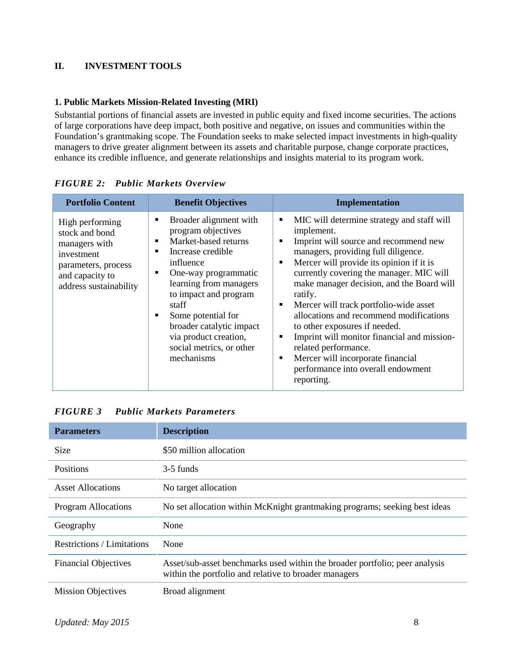# **II. INVESTMENT TOOLS**

### **1. Public Markets Mission-Related Investing (MRI)**

Substantial portions of financial assets are invested in public equity and fixed income securities. The actions of large corporations have deep impact, both positive and negative, on issues and communities within the Foundation's grantmaking scope. The Foundation seeks to make selected impact investments in high-quality managers to drive greater alignment between its assets and charitable purpose, change corporate practices, enhance its credible influence, and generate relationships and insights material to its program work.

| <b>Portfolio Content</b>                                                                                                             | <b>Benefit Objectives</b>                                                                                                                                                                                                                                                                                                 | <b>Implementation</b>                                                                                                                                                                                                                                                                                                                                                                                                                                                                                                                                                                                                     |
|--------------------------------------------------------------------------------------------------------------------------------------|---------------------------------------------------------------------------------------------------------------------------------------------------------------------------------------------------------------------------------------------------------------------------------------------------------------------------|---------------------------------------------------------------------------------------------------------------------------------------------------------------------------------------------------------------------------------------------------------------------------------------------------------------------------------------------------------------------------------------------------------------------------------------------------------------------------------------------------------------------------------------------------------------------------------------------------------------------------|
| High performing<br>stock and bond<br>managers with<br>investment<br>parameters, process<br>and capacity to<br>address sustainability | Broader alignment with<br>program objectives<br>Market-based returns<br>٠<br>Increase credible<br>influence<br>One-way programmatic<br>٠<br>learning from managers<br>to impact and program<br>staff<br>Some potential for<br>broader catalytic impact<br>via product creation,<br>social metrics, or other<br>mechanisms | MIC will determine strategy and staff will<br>٠<br>implement.<br>Imprint will source and recommend new<br>٠<br>managers, providing full diligence.<br>Mercer will provide its opinion if it is<br>٠<br>currently covering the manager. MIC will<br>make manager decision, and the Board will<br>ratify.<br>Mercer will track portfolio-wide asset<br>٠<br>allocations and recommend modifications<br>to other exposures if needed.<br>Imprint will monitor financial and mission-<br>$\blacksquare$<br>related performance.<br>Mercer will incorporate financial<br>٠<br>performance into overall endowment<br>reporting. |

*FIGURE 2: Public Markets Overview*

# *FIGURE 3 Public Markets Parameters*

| <b>Parameters</b>           | <b>Description</b>                                                                                                                   |
|-----------------------------|--------------------------------------------------------------------------------------------------------------------------------------|
| <b>Size</b>                 | \$50 million allocation                                                                                                              |
| <b>Positions</b>            | 3-5 funds                                                                                                                            |
| Asset Allocations           | No target allocation                                                                                                                 |
| <b>Program Allocations</b>  | No set allocation within McKnight grantmaking programs; seeking best ideas                                                           |
| Geography                   | None                                                                                                                                 |
| Restrictions / Limitations  | None                                                                                                                                 |
| <b>Financial Objectives</b> | Asset/sub-asset benchmarks used within the broader portfolio; peer analysis<br>within the portfolio and relative to broader managers |
| <b>Mission Objectives</b>   | Broad alignment                                                                                                                      |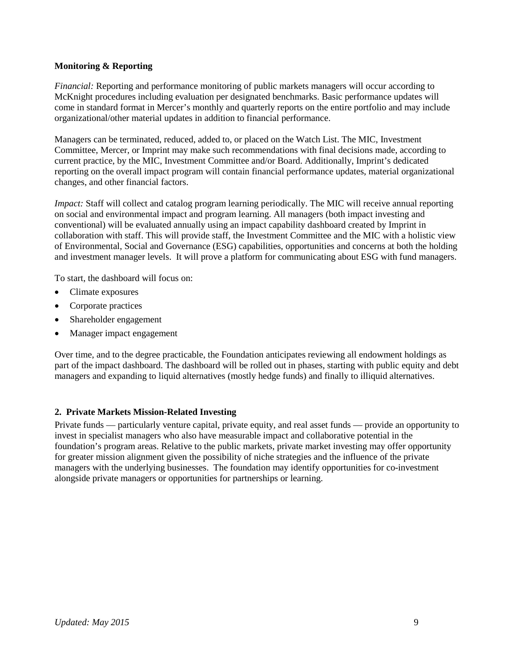### **Monitoring & Reporting**

*Financial:* Reporting and performance monitoring of public markets managers will occur according to McKnight procedures including evaluation per designated benchmarks. Basic performance updates will come in standard format in Mercer's monthly and quarterly reports on the entire portfolio and may include organizational/other material updates in addition to financial performance.

Managers can be terminated, reduced, added to, or placed on the Watch List. The MIC, Investment Committee, Mercer, or Imprint may make such recommendations with final decisions made, according to current practice, by the MIC, Investment Committee and/or Board. Additionally, Imprint's dedicated reporting on the overall impact program will contain financial performance updates, material organizational changes, and other financial factors.

*Impact:* Staff will collect and catalog program learning periodically. The MIC will receive annual reporting on social and environmental impact and program learning. All managers (both impact investing and conventional) will be evaluated annually using an impact capability dashboard created by Imprint in collaboration with staff. This will provide staff, the Investment Committee and the MIC with a holistic view of Environmental, Social and Governance (ESG) capabilities, opportunities and concerns at both the holding and investment manager levels. It will prove a platform for communicating about ESG with fund managers.

To start, the dashboard will focus on:

- Climate exposures
- Corporate practices
- Shareholder engagement
- Manager impact engagement

Over time, and to the degree practicable, the Foundation anticipates reviewing all endowment holdings as part of the impact dashboard. The dashboard will be rolled out in phases, starting with public equity and debt managers and expanding to liquid alternatives (mostly hedge funds) and finally to illiquid alternatives.

# **2. Private Markets Mission-Related Investing**

Private funds — particularly venture capital, private equity, and real asset funds — provide an opportunity to invest in specialist managers who also have measurable impact and collaborative potential in the foundation's program areas. Relative to the public markets, private market investing may offer opportunity for greater mission alignment given the possibility of niche strategies and the influence of the private managers with the underlying businesses. The foundation may identify opportunities for co-investment alongside private managers or opportunities for partnerships or learning.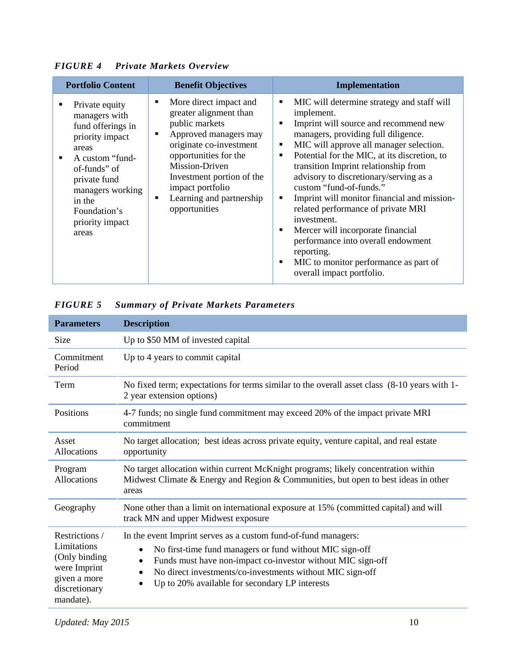| <b>Portfolio Content</b>                                                                                                                                                                                                        | <b>Benefit Objectives</b>                                                                                                                                                                                                                                            | <b>Implementation</b>                                                                                                                                                                                                                                                                                                                                                                                                                                                                                                                                                                                                                                                                                                   |
|---------------------------------------------------------------------------------------------------------------------------------------------------------------------------------------------------------------------------------|----------------------------------------------------------------------------------------------------------------------------------------------------------------------------------------------------------------------------------------------------------------------|-------------------------------------------------------------------------------------------------------------------------------------------------------------------------------------------------------------------------------------------------------------------------------------------------------------------------------------------------------------------------------------------------------------------------------------------------------------------------------------------------------------------------------------------------------------------------------------------------------------------------------------------------------------------------------------------------------------------------|
| Private equity<br>managers with<br>fund offerings in<br>priority impact<br>areas<br>A custom "fund-<br>$\blacksquare$<br>of-funds" of<br>private fund<br>managers working<br>in the<br>Foundation's<br>priority impact<br>areas | More direct impact and<br>greater alignment than<br>public markets<br>Approved managers may<br>originate co-investment<br>opportunities for the<br>Mission-Driven<br>Investment portion of the<br>impact portfolio<br>Learning and partnership<br>٠<br>opportunities | MIC will determine strategy and staff will<br>٠<br>implement.<br>Imprint will source and recommend new<br>$\blacksquare$<br>managers, providing full diligence.<br>MIC will approve all manager selection.<br>٠<br>Potential for the MIC, at its discretion, to<br>$\blacksquare$<br>transition Imprint relationship from<br>advisory to discretionary/serving as a<br>custom "fund-of-funds."<br>Imprint will monitor financial and mission-<br>$\blacksquare$<br>related performance of private MRI<br>investment.<br>Mercer will incorporate financial<br>$\blacksquare$<br>performance into overall endowment<br>reporting.<br>MIC to monitor performance as part of<br>$\blacksquare$<br>overall impact portfolio. |

*FIGURE 4 Private Markets Overview*

| <b>Summary of Private Markets Parameters</b> | <b>FIGURE 5</b> |  |  |  |  |  |
|----------------------------------------------|-----------------|--|--|--|--|--|
|----------------------------------------------|-----------------|--|--|--|--|--|

| <b>Parameters</b>                                                                                            | <b>Description</b>                                                                                                                                                                                                                                                                                                                                           |
|--------------------------------------------------------------------------------------------------------------|--------------------------------------------------------------------------------------------------------------------------------------------------------------------------------------------------------------------------------------------------------------------------------------------------------------------------------------------------------------|
| <b>Size</b>                                                                                                  | Up to \$50 MM of invested capital                                                                                                                                                                                                                                                                                                                            |
| Commitment<br>Period                                                                                         | Up to 4 years to commit capital                                                                                                                                                                                                                                                                                                                              |
| Term                                                                                                         | No fixed term; expectations for terms similar to the overall asset class (8-10 years with 1-<br>2 year extension options)                                                                                                                                                                                                                                    |
| Positions                                                                                                    | 4-7 funds; no single fund commitment may exceed 20% of the impact private MRI<br>commitment                                                                                                                                                                                                                                                                  |
| Asset<br>Allocations                                                                                         | No target allocation; best ideas across private equity, venture capital, and real estate<br>opportunity                                                                                                                                                                                                                                                      |
| Program<br>Allocations                                                                                       | No target allocation within current McKnight programs; likely concentration within<br>Midwest Climate $&$ Energy and Region $&$ Communities, but open to best ideas in other<br>areas                                                                                                                                                                        |
| Geography                                                                                                    | None other than a limit on international exposure at 15% (committed capital) and will<br>track MN and upper Midwest exposure                                                                                                                                                                                                                                 |
| Restrictions /<br>Limitations<br>(Only binding<br>were Imprint<br>given a more<br>discretionary<br>mandate). | In the event Imprint serves as a custom fund-of-fund managers:<br>No first-time fund managers or fund without MIC sign-off<br>$\bullet$<br>Funds must have non-impact co-investor without MIC sign-off<br>$\bullet$<br>No direct investments/co-investments without MIC sign-off<br>$\bullet$<br>Up to 20% available for secondary LP interests<br>$\bullet$ |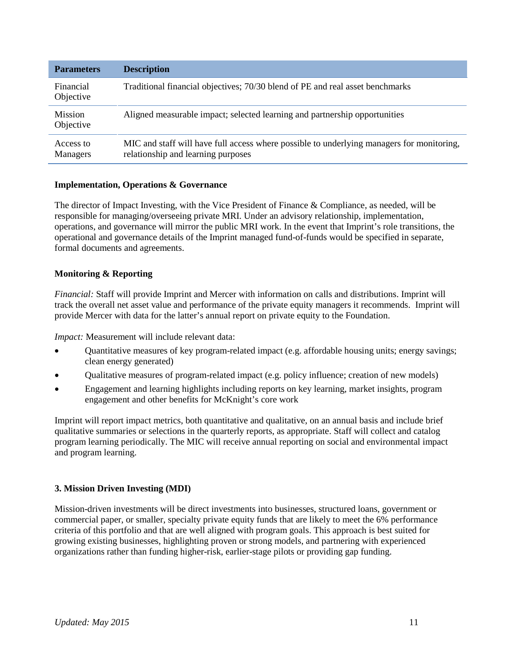| <b>Parameters</b>           | <b>Description</b>                                                                                                              |
|-----------------------------|---------------------------------------------------------------------------------------------------------------------------------|
| Financial<br>Objective      | Traditional financial objectives; 70/30 blend of PE and real asset benchmarks                                                   |
| <b>Mission</b><br>Objective | Aligned measurable impact; selected learning and partnership opportunities                                                      |
| Access to<br>Managers       | MIC and staff will have full access where possible to underlying managers for monitoring,<br>relationship and learning purposes |

### **Implementation, Operations & Governance**

The director of Impact Investing, with the Vice President of Finance & Compliance, as needed, will be responsible for managing/overseeing private MRI. Under an advisory relationship, implementation, operations, and governance will mirror the public MRI work. In the event that Imprint's role transitions, the operational and governance details of the Imprint managed fund-of-funds would be specified in separate, formal documents and agreements.

### **Monitoring & Reporting**

*Financial:* Staff will provide Imprint and Mercer with information on calls and distributions. Imprint will track the overall net asset value and performance of the private equity managers it recommends. Imprint will provide Mercer with data for the latter's annual report on private equity to the Foundation.

*Impact:* Measurement will include relevant data:

- Quantitative measures of key program-related impact (e.g. affordable housing units; energy savings; clean energy generated)
- Qualitative measures of program-related impact (e.g. policy influence; creation of new models)
- Engagement and learning highlights including reports on key learning, market insights, program engagement and other benefits for McKnight's core work

Imprint will report impact metrics, both quantitative and qualitative, on an annual basis and include brief qualitative summaries or selections in the quarterly reports, as appropriate. Staff will collect and catalog program learning periodically. The MIC will receive annual reporting on social and environmental impact and program learning.

### **3. Mission Driven Investing (MDI)**

Mission-driven investments will be direct investments into businesses, structured loans, government or commercial paper, or smaller, specialty private equity funds that are likely to meet the 6% performance criteria of this portfolio and that are well aligned with program goals. This approach is best suited for growing existing businesses, highlighting proven or strong models, and partnering with experienced organizations rather than funding higher-risk, earlier-stage pilots or providing gap funding.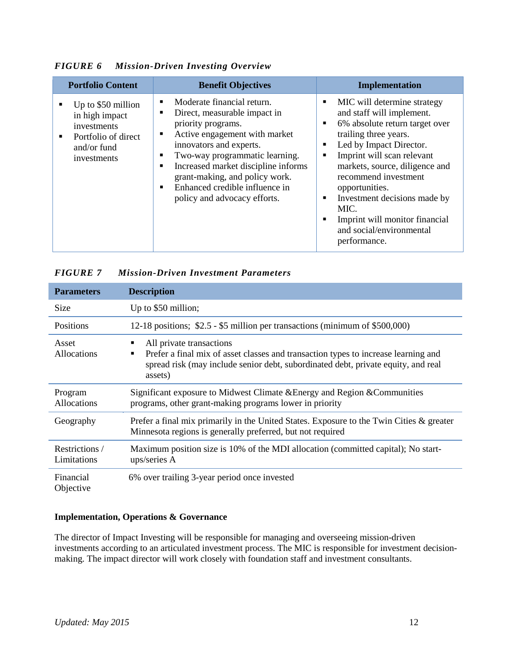| <b>Portfolio Content</b>                                                                                                        | <b>Benefit Objectives</b>                                                                                                                                                                                                                                                                                                           | <b>Implementation</b>                                                                                                                                                                                                                                                                                                                                                                                                             |
|---------------------------------------------------------------------------------------------------------------------------------|-------------------------------------------------------------------------------------------------------------------------------------------------------------------------------------------------------------------------------------------------------------------------------------------------------------------------------------|-----------------------------------------------------------------------------------------------------------------------------------------------------------------------------------------------------------------------------------------------------------------------------------------------------------------------------------------------------------------------------------------------------------------------------------|
| Up to \$50 million<br>٠<br>in high impact<br>investments<br>Portfolio of direct<br>$\blacksquare$<br>and/or fund<br>investments | Moderate financial return.<br>Direct, measurable impact in<br>priority programs.<br>Active engagement with market<br>٠<br>innovators and experts.<br>Two-way programmatic learning.<br>Increased market discipline informs<br>٠<br>grant-making, and policy work.<br>Enhanced credible influence in<br>policy and advocacy efforts. | MIC will determine strategy<br>п<br>and staff will implement.<br>6% absolute return target over<br>$\blacksquare$<br>trailing three years.<br>Led by Impact Director.<br>$\blacksquare$<br>Imprint will scan relevant<br>п<br>markets, source, diligence and<br>recommend investment<br>opportunities.<br>Investment decisions made by<br>п<br>MIC.<br>Imprint will monitor financial<br>and social/environmental<br>performance. |

*FIGURE 6 Mission-Driven Investing Overview*

| <b>Parameters</b>             | <b>Description</b>                                                                                                                                                                                                       |
|-------------------------------|--------------------------------------------------------------------------------------------------------------------------------------------------------------------------------------------------------------------------|
| Size                          | Up to \$50 million;                                                                                                                                                                                                      |
| Positions                     | 12-18 positions; \$2.5 - \$5 million per transactions (minimum of \$500,000)                                                                                                                                             |
| Asset<br>Allocations          | All private transactions<br>٠<br>Prefer a final mix of asset classes and transaction types to increase learning and<br>٠<br>spread risk (may include senior debt, subordinated debt, private equity, and real<br>assets) |
| Program<br>Allocations        | Significant exposure to Midwest Climate & Energy and Region & Communities<br>programs, other grant-making programs lower in priority                                                                                     |
| Geography                     | Prefer a final mix primarily in the United States. Exposure to the Twin Cities & greater<br>Minnesota regions is generally preferred, but not required                                                                   |
| Restrictions /<br>Limitations | Maximum position size is 10% of the MDI allocation (committed capital); No start-<br>ups/series A                                                                                                                        |
| Financial                     | 6% over trailing 3-year period once invested                                                                                                                                                                             |

# *FIGURE 7 Mission-Driven Investment Parameters*

### **Implementation, Operations & Governance**

The director of Impact Investing will be responsible for managing and overseeing mission-driven investments according to an articulated investment process. The MIC is responsible for investment decisionmaking. The impact director will work closely with foundation staff and investment consultants.

Objective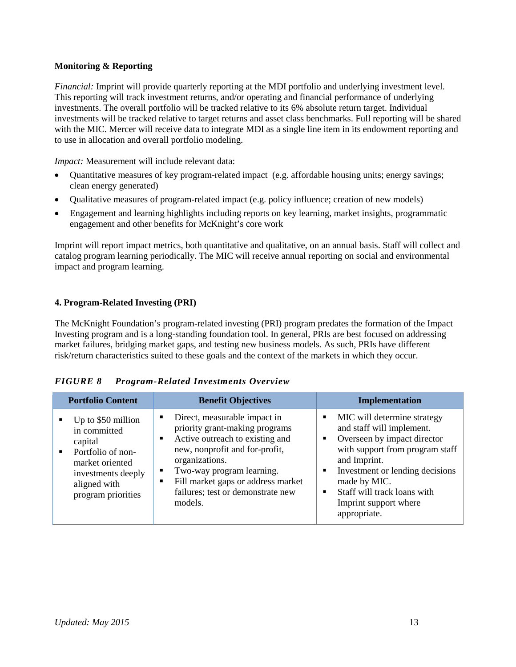# **Monitoring & Reporting**

*Financial:* Imprint will provide quarterly reporting at the MDI portfolio and underlying investment level. This reporting will track investment returns, and/or operating and financial performance of underlying investments. The overall portfolio will be tracked relative to its 6% absolute return target. Individual investments will be tracked relative to target returns and asset class benchmarks. Full reporting will be shared with the MIC. Mercer will receive data to integrate MDI as a single line item in its endowment reporting and to use in allocation and overall portfolio modeling.

*Impact:* Measurement will include relevant data:

- Quantitative measures of key program-related impact (e.g. affordable housing units; energy savings; clean energy generated)
- Qualitative measures of program-related impact (e.g. policy influence; creation of new models)
- Engagement and learning highlights including reports on key learning, market insights, programmatic engagement and other benefits for McKnight's core work

Imprint will report impact metrics, both quantitative and qualitative, on an annual basis. Staff will collect and catalog program learning periodically. The MIC will receive annual reporting on social and environmental impact and program learning.

# **4. Program**-**Related Investing (PRI)**

The McKnight Foundation's program-related investing (PRI) program predates the formation of the Impact Investing program and is a long-standing foundation tool. In general, PRIs are best focused on addressing market failures, bridging market gaps, and testing new business models. As such, PRIs have different risk/return characteristics suited to these goals and the context of the markets in which they occur.

| <b>FIGURE 8</b> | <b>Program-Related Investments Overview</b> |  |
|-----------------|---------------------------------------------|--|
|-----------------|---------------------------------------------|--|

| <b>Portfolio Content</b>                                                                                                                                | <b>Benefit Objectives</b>                                                                                                                                                                                                                                                                  | Implementation                                                                                                                                                                                                                                                                            |  |
|---------------------------------------------------------------------------------------------------------------------------------------------------------|--------------------------------------------------------------------------------------------------------------------------------------------------------------------------------------------------------------------------------------------------------------------------------------------|-------------------------------------------------------------------------------------------------------------------------------------------------------------------------------------------------------------------------------------------------------------------------------------------|--|
| Up to \$50 million<br>in committed<br>capital<br>Portfolio of non-<br>٠.<br>market oriented<br>investments deeply<br>aligned with<br>program priorities | Direct, measurable impact in<br>priority grant-making programs<br>Active outreach to existing and<br>$\blacksquare$<br>new, nonprofit and for-profit,<br>organizations.<br>Two-way program learning.<br>Fill market gaps or address market<br>failures; test or demonstrate new<br>models. | MIC will determine strategy<br>٠<br>and staff will implement.<br>Overseen by impact director<br>٠<br>with support from program staff<br>and Imprint.<br>Investment or lending decisions<br>٠<br>made by MIC.<br>Staff will track loans with<br>٠<br>Imprint support where<br>appropriate. |  |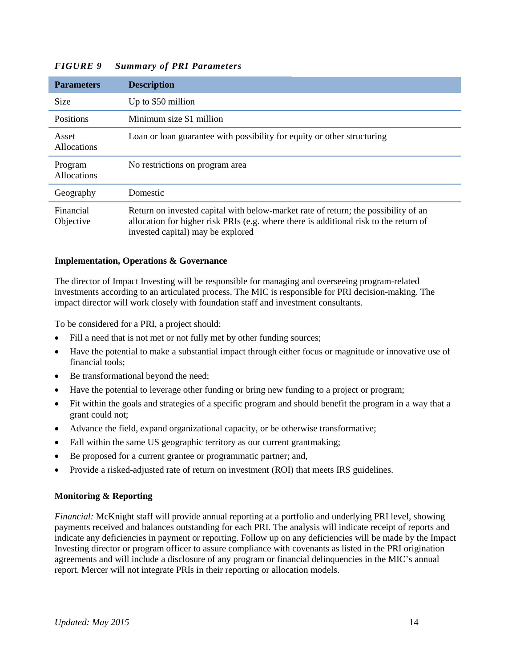| <b>Parameters</b>      | <b>Description</b>                                                                                                                                                                                               |
|------------------------|------------------------------------------------------------------------------------------------------------------------------------------------------------------------------------------------------------------|
| <b>Size</b>            | Up to \$50 million                                                                                                                                                                                               |
| <b>Positions</b>       | Minimum size \$1 million                                                                                                                                                                                         |
| Asset<br>Allocations   | Loan or loan guarantee with possibility for equity or other structuring                                                                                                                                          |
| Program<br>Allocations | No restrictions on program area                                                                                                                                                                                  |
| Geography              | Domestic                                                                                                                                                                                                         |
| Financial<br>Objective | Return on invested capital with below-market rate of return; the possibility of an<br>allocation for higher risk PRIs (e.g. where there is additional risk to the return of<br>invested capital) may be explored |

# *FIGURE 9 Summary of PRI Parameters*

#### **Implementation, Operations & Governance**

The director of Impact Investing will be responsible for managing and overseeing program-related investments according to an articulated process. The MIC is responsible for PRI decision-making. The impact director will work closely with foundation staff and investment consultants.

To be considered for a PRI, a project should:

- Fill a need that is not met or not fully met by other funding sources;
- Have the potential to make a substantial impact through either focus or magnitude or innovative use of financial tools;
- Be transformational beyond the need;
- Have the potential to leverage other funding or bring new funding to a project or program;
- Fit within the goals and strategies of a specific program and should benefit the program in a way that a grant could not;
- Advance the field, expand organizational capacity, or be otherwise transformative;
- Fall within the same US geographic territory as our current grantmaking;
- Be proposed for a current grantee or programmatic partner; and,
- Provide a risked-adjusted rate of return on investment (ROI) that meets IRS guidelines.

#### **Monitoring & Reporting**

*Financial:* McKnight staff will provide annual reporting at a portfolio and underlying PRI level, showing payments received and balances outstanding for each PRI. The analysis will indicate receipt of reports and indicate any deficiencies in payment or reporting. Follow up on any deficiencies will be made by the Impact Investing director or program officer to assure compliance with covenants as listed in the PRI origination agreements and will include a disclosure of any program or financial delinquencies in the MIC's annual report. Mercer will not integrate PRIs in their reporting or allocation models.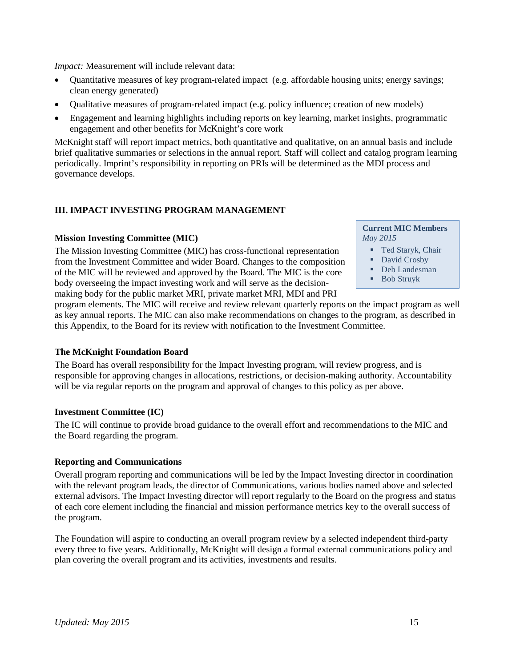*Impact:* Measurement will include relevant data:

- Quantitative measures of key program-related impact (e.g. affordable housing units; energy savings; clean energy generated)
- Qualitative measures of program-related impact (e.g. policy influence; creation of new models)
- Engagement and learning highlights including reports on key learning, market insights, programmatic engagement and other benefits for McKnight's core work

McKnight staff will report impact metrics, both quantitative and qualitative, on an annual basis and include brief qualitative summaries or selections in the annual report. Staff will collect and catalog program learning periodically. Imprint's responsibility in reporting on PRIs will be determined as the MDI process and governance develops.

# **III. IMPACT INVESTING PROGRAM MANAGEMENT**

#### **Mission Investing Committee (MIC)**

The Mission Investing Committee (MIC) has cross-functional representation from the Investment Committee and wider Board. Changes to the composition of the MIC will be reviewed and approved by the Board. The MIC is the core body overseeing the impact investing work and will serve as the decisionmaking body for the public market MRI, private market MRI, MDI and PRI

**Current MIC Members** *May 2015*

- **Ted Staryk, Chair**
- David Crosby
- Deb Landesman
- Bob Struyk
- 

program elements. The MIC will receive and review relevant quarterly reports on the impact program as well as key annual reports. The MIC can also make recommendations on changes to the program, as described in this Appendix, to the Board for its review with notification to the Investment Committee.

### **The McKnight Foundation Board**

The Board has overall responsibility for the Impact Investing program, will review progress, and is responsible for approving changes in allocations, restrictions, or decision-making authority. Accountability will be via regular reports on the program and approval of changes to this policy as per above.

### **Investment Committee (IC)**

The IC will continue to provide broad guidance to the overall effort and recommendations to the MIC and the Board regarding the program.

### **Reporting and Communications**

Overall program reporting and communications will be led by the Impact Investing director in coordination with the relevant program leads, the director of Communications, various bodies named above and selected external advisors. The Impact Investing director will report regularly to the Board on the progress and status of each core element including the financial and mission performance metrics key to the overall success of the program.

The Foundation will aspire to conducting an overall program review by a selected independent third-party every three to five years. Additionally, McKnight will design a formal external communications policy and plan covering the overall program and its activities, investments and results.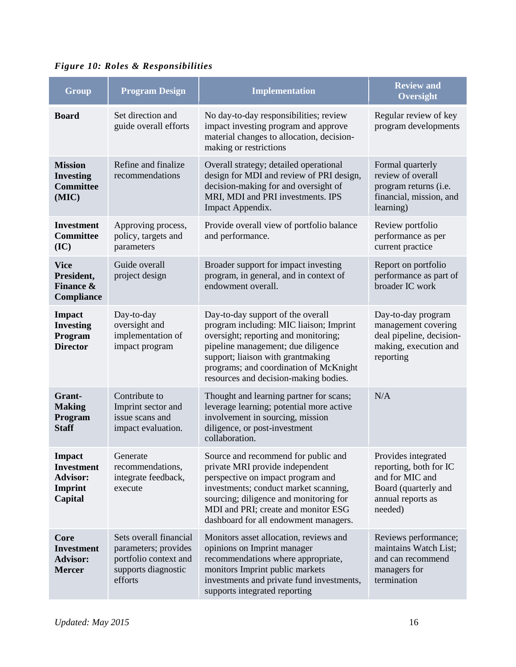|  |  |  |  | <b>Figure 10: Roles &amp; Responsibilities</b> |
|--|--|--|--|------------------------------------------------|
|--|--|--|--|------------------------------------------------|

| Group                                                                       | <b>Program Design</b>                                                                                     | <b>Implementation</b>                                                                                                                                                                                                                                                              | <b>Review and</b><br>Oversight                                                                                           |
|-----------------------------------------------------------------------------|-----------------------------------------------------------------------------------------------------------|------------------------------------------------------------------------------------------------------------------------------------------------------------------------------------------------------------------------------------------------------------------------------------|--------------------------------------------------------------------------------------------------------------------------|
| <b>Board</b>                                                                | Set direction and<br>guide overall efforts                                                                | No day-to-day responsibilities; review<br>impact investing program and approve<br>material changes to allocation, decision-<br>making or restrictions                                                                                                                              | Regular review of key<br>program developments                                                                            |
| <b>Mission</b><br><b>Investing</b><br><b>Committee</b><br>(MIC)             | Refine and finalize<br>recommendations                                                                    | Overall strategy; detailed operational<br>design for MDI and review of PRI design,<br>decision-making for and oversight of<br>MRI, MDI and PRI investments. IPS<br>Impact Appendix.                                                                                                | Formal quarterly<br>review of overall<br>program returns (i.e.<br>financial, mission, and<br>learning)                   |
| <b>Investment</b><br><b>Committee</b><br>(IC)                               | Approving process,<br>policy, targets and<br>parameters                                                   | Provide overall view of portfolio balance<br>and performance.                                                                                                                                                                                                                      | Review portfolio<br>performance as per<br>current practice                                                               |
| <b>Vice</b><br>President,<br><b>Finance &amp;</b><br>Compliance             | Guide overall<br>project design                                                                           | Broader support for impact investing<br>program, in general, and in context of<br>endowment overall.                                                                                                                                                                               | Report on portfolio<br>performance as part of<br>broader IC work                                                         |
| <b>Impact</b><br><b>Investing</b><br>Program<br><b>Director</b>             | Day-to-day<br>oversight and<br>implementation of<br>impact program                                        | Day-to-day support of the overall<br>program including: MIC liaison; Imprint<br>oversight; reporting and monitoring;<br>pipeline management; due diligence<br>support; liaison with grantmaking<br>programs; and coordination of McKnight<br>resources and decision-making bodies. | Day-to-day program<br>management covering<br>deal pipeline, decision-<br>making, execution and<br>reporting              |
| Grant-<br><b>Making</b><br>Program<br><b>Staff</b>                          | Contribute to<br>Imprint sector and<br>issue scans and<br>impact evaluation.                              | Thought and learning partner for scans;<br>leverage learning; potential more active<br>involvement in sourcing, mission<br>diligence, or post-investment<br>collaboration.                                                                                                         | N/A                                                                                                                      |
| <b>Impact</b><br><b>Investment</b><br><b>Advisor:</b><br>Imprint<br>Capital | Generate<br>recommendations,<br>integrate feedback,<br>execute                                            | Source and recommend for public and<br>private MRI provide independent<br>perspective on impact program and<br>investments; conduct market scanning,<br>sourcing; diligence and monitoring for<br>MDI and PRI; create and monitor ESG<br>dashboard for all endowment managers.     | Provides integrated<br>reporting, both for IC<br>and for MIC and<br>Board (quarterly and<br>annual reports as<br>needed) |
| Core<br><b>Investment</b><br><b>Advisor:</b><br><b>Mercer</b>               | Sets overall financial<br>parameters; provides<br>portfolio context and<br>supports diagnostic<br>efforts | Monitors asset allocation, reviews and<br>opinions on Imprint manager<br>recommendations where appropriate,<br>monitors Imprint public markets<br>investments and private fund investments,<br>supports integrated reporting                                                       | Reviews performance;<br>maintains Watch List;<br>and can recommend<br>managers for<br>termination                        |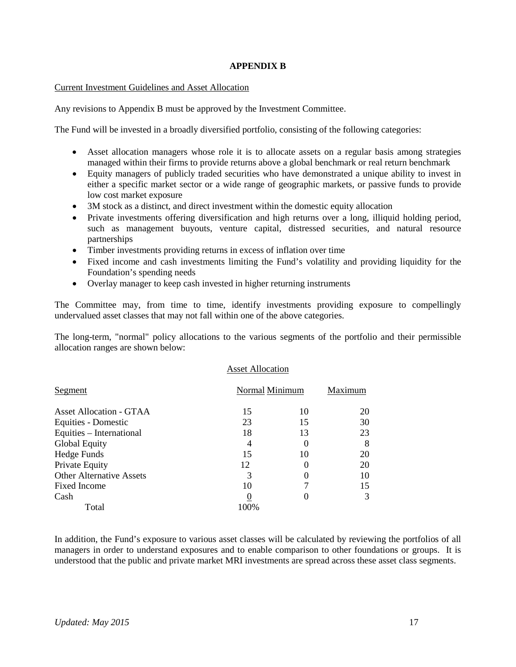#### **APPENDIX B**

#### Current Investment Guidelines and Asset Allocation

Any revisions to Appendix B must be approved by the Investment Committee.

The Fund will be invested in a broadly diversified portfolio, consisting of the following categories:

- Asset allocation managers whose role it is to allocate assets on a regular basis among strategies managed within their firms to provide returns above a global benchmark or real return benchmark
- Equity managers of publicly traded securities who have demonstrated a unique ability to invest in either a specific market sector or a wide range of geographic markets, or passive funds to provide low cost market exposure
- 3M stock as a distinct, and direct investment within the domestic equity allocation
- Private investments offering diversification and high returns over a long, illiquid holding period, such as management buyouts, venture capital, distressed securities, and natural resource partnerships
- Timber investments providing returns in excess of inflation over time
- Fixed income and cash investments limiting the Fund's volatility and providing liquidity for the Foundation's spending needs
- Overlay manager to keep cash invested in higher returning instruments

The Committee may, from time to time, identify investments providing exposure to compellingly undervalued asset classes that may not fall within one of the above categories.

The long-term, "normal" policy allocations to the various segments of the portfolio and their permissible allocation ranges are shown below:

Asset Allocation

| Segment                         | Normal Minimum |    | Maximum |
|---------------------------------|----------------|----|---------|
| <b>Asset Allocation - GTAA</b>  | 15             | 10 | 20      |
| Equities - Domestic             | 23             | 15 | 30      |
| Equities – International        | 18             | 13 | 23      |
| Global Equity                   | 4              |    | 8       |
| Hedge Funds                     | 15             | 10 | 20      |
| Private Equity                  | 12             |    | 20      |
| <b>Other Alternative Assets</b> | 3              |    | 10      |
| <b>Fixed Income</b>             | 10             |    | 15      |
| Cash                            |                |    | 3       |
| Total                           | 100%           |    |         |

In addition, the Fund's exposure to various asset classes will be calculated by reviewing the portfolios of all managers in order to understand exposures and to enable comparison to other foundations or groups. It is understood that the public and private market MRI investments are spread across these asset class segments.